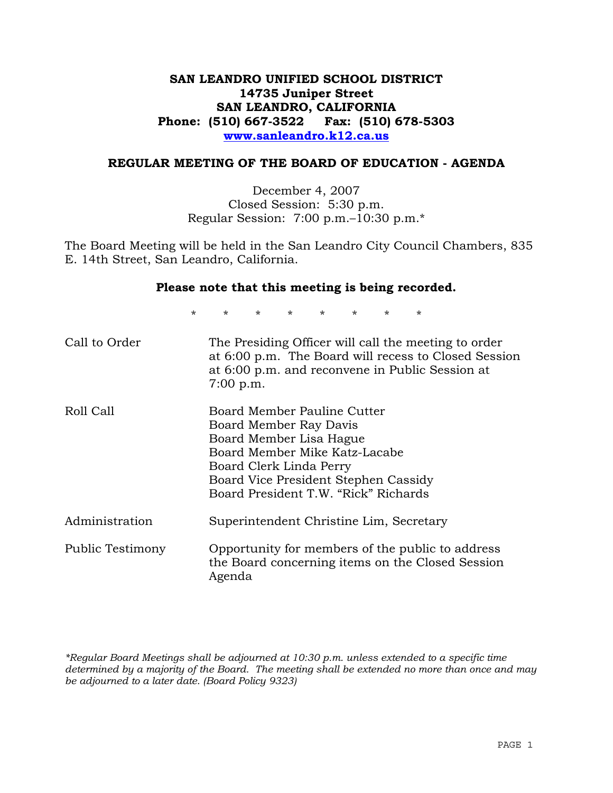# **SAN LEANDRO UNIFIED SCHOOL DISTRICT 14735 Juniper Street SAN LEANDRO, CALIFORNIA Phone: (510) 667-3522 Fax: (510) 678-5303 www.sanleandro.k12.ca.us**

### **REGULAR MEETING OF THE BOARD OF EDUCATION - AGENDA**

December 4, 2007 Closed Session: 5:30 p.m. Regular Session: 7:00 p.m.–10:30 p.m.\*

The Board Meeting will be held in the San Leandro City Council Chambers, 835 E. 14th Street, San Leandro, California.

#### **Please note that this meeting is being recorded.**

\* \* \* \* \* \* \* \*

| Call to Order    | The Presiding Officer will call the meeting to order<br>at 6:00 p.m. The Board will recess to Closed Session<br>at 6:00 p.m. and reconvene in Public Session at<br>$7:00$ p.m.                                               |
|------------------|------------------------------------------------------------------------------------------------------------------------------------------------------------------------------------------------------------------------------|
| Roll Call        | Board Member Pauline Cutter<br>Board Member Ray Davis<br>Board Member Lisa Hague<br>Board Member Mike Katz-Lacabe<br>Board Clerk Linda Perry<br>Board Vice President Stephen Cassidy<br>Board President T.W. "Rick" Richards |
| Administration   | Superintendent Christine Lim, Secretary                                                                                                                                                                                      |
| Public Testimony | Opportunity for members of the public to address<br>the Board concerning items on the Closed Session<br>Agenda                                                                                                               |

*\*Regular Board Meetings shall be adjourned at 10:30 p.m. unless extended to a specific time determined by a majority of the Board. The meeting shall be extended no more than once and may be adjourned to a later date. (Board Policy 9323)*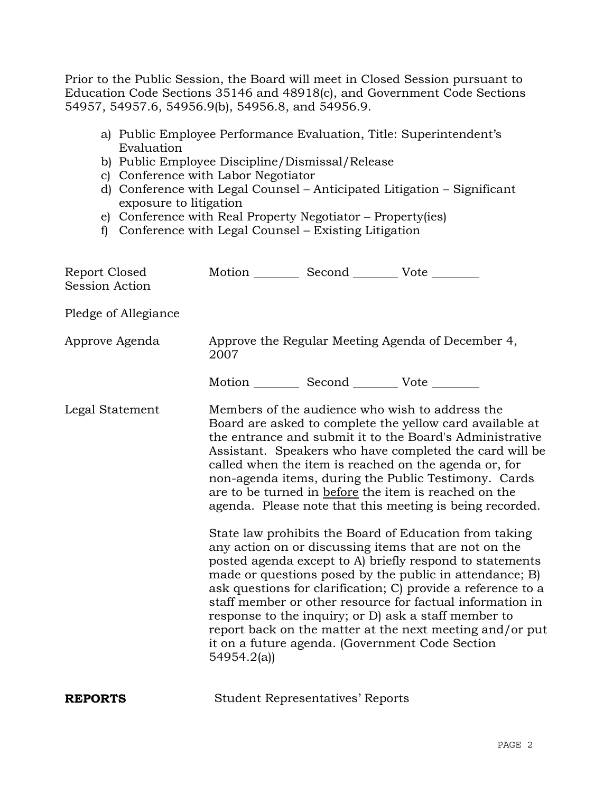Prior to the Public Session, the Board will meet in Closed Session pursuant to Education Code Sections 35146 and 48918(c), and Government Code Sections 54957, 54957.6, 54956.9(b), 54956.8, and 54956.9.

- a) Public Employee Performance Evaluation, Title: Superintendent's Evaluation
- b) Public Employee Discipline/Dismissal/Release
- c) Conference with Labor Negotiator
- d) Conference with Legal Counsel Anticipated Litigation Significant exposure to litigation
- e) Conference with Real Property Negotiator Property(ies)
- f) Conference with Legal Counsel Existing Litigation

| Report Closed<br>Session Action | Motion __________ Second __________ Vote ________ |                                         |                                                                                                                                                                                                                                                                                                                                                                                                                                                                                                                                                                                                                                                                                                                                                                                                                                                                                                                                                                                                                        |
|---------------------------------|---------------------------------------------------|-----------------------------------------|------------------------------------------------------------------------------------------------------------------------------------------------------------------------------------------------------------------------------------------------------------------------------------------------------------------------------------------------------------------------------------------------------------------------------------------------------------------------------------------------------------------------------------------------------------------------------------------------------------------------------------------------------------------------------------------------------------------------------------------------------------------------------------------------------------------------------------------------------------------------------------------------------------------------------------------------------------------------------------------------------------------------|
| Pledge of Allegiance            |                                                   |                                         |                                                                                                                                                                                                                                                                                                                                                                                                                                                                                                                                                                                                                                                                                                                                                                                                                                                                                                                                                                                                                        |
| Approve Agenda                  | 2007                                              |                                         | Approve the Regular Meeting Agenda of December 4,                                                                                                                                                                                                                                                                                                                                                                                                                                                                                                                                                                                                                                                                                                                                                                                                                                                                                                                                                                      |
|                                 | Motion __________ Second __________ Vote ________ |                                         |                                                                                                                                                                                                                                                                                                                                                                                                                                                                                                                                                                                                                                                                                                                                                                                                                                                                                                                                                                                                                        |
| Legal Statement                 | 54954.2(a)                                        |                                         | Members of the audience who wish to address the<br>Board are asked to complete the yellow card available at<br>the entrance and submit it to the Board's Administrative<br>Assistant. Speakers who have completed the card will be<br>called when the item is reached on the agenda or, for<br>non-agenda items, during the Public Testimony. Cards<br>are to be turned in before the item is reached on the<br>agenda. Please note that this meeting is being recorded.<br>State law prohibits the Board of Education from taking<br>any action on or discussing items that are not on the<br>posted agenda except to A) briefly respond to statements<br>made or questions posed by the public in attendance; B)<br>ask questions for clarification; C) provide a reference to a<br>staff member or other resource for factual information in<br>response to the inquiry; or D) ask a staff member to<br>report back on the matter at the next meeting and/or put<br>it on a future agenda. (Government Code Section |
| <b>REPORTS</b>                  |                                                   | <b>Student Representatives' Reports</b> |                                                                                                                                                                                                                                                                                                                                                                                                                                                                                                                                                                                                                                                                                                                                                                                                                                                                                                                                                                                                                        |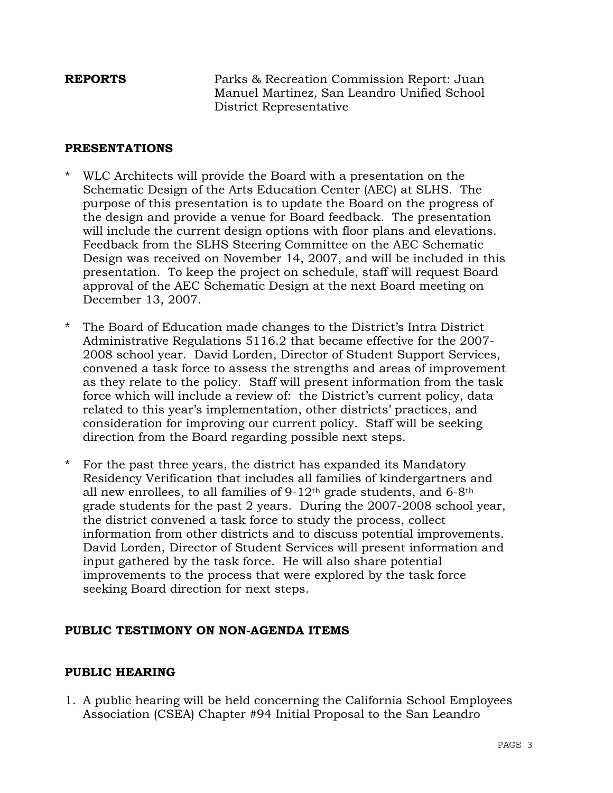**REPORTS** Parks & Recreation Commission Report: Juan Manuel Martinez, San Leandro Unified School District Representative

## **PRESENTATIONS**

- WLC Architects will provide the Board with a presentation on the Schematic Design of the Arts Education Center (AEC) at SLHS. The purpose of this presentation is to update the Board on the progress of the design and provide a venue for Board feedback. The presentation will include the current design options with floor plans and elevations. Feedback from the SLHS Steering Committee on the AEC Schematic Design was received on November 14, 2007, and will be included in this presentation. To keep the project on schedule, staff will request Board approval of the AEC Schematic Design at the next Board meeting on December 13, 2007.
- The Board of Education made changes to the District's Intra District Administrative Regulations 5116.2 that became effective for the 2007- 2008 school year. David Lorden, Director of Student Support Services, convened a task force to assess the strengths and areas of improvement as they relate to the policy. Staff will present information from the task force which will include a review of: the District's current policy, data related to this year's implementation, other districts' practices, and consideration for improving our current policy. Staff will be seeking direction from the Board regarding possible next steps.
- \* For the past three years, the district has expanded its Mandatory Residency Verification that includes all families of kindergartners and all new enrollees, to all families of  $9-12$ <sup>th</sup> grade students, and  $6-8$ <sup>th</sup> grade students for the past 2 years. During the 2007-2008 school year, the district convened a task force to study the process, collect information from other districts and to discuss potential improvements. David Lorden, Director of Student Services will present information and input gathered by the task force. He will also share potential improvements to the process that were explored by the task force seeking Board direction for next steps.

# **PUBLIC TESTIMONY ON NON-AGENDA ITEMS**

# **PUBLIC HEARING**

1. A public hearing will be held concerning the California School Employees Association (CSEA) Chapter #94 Initial Proposal to the San Leandro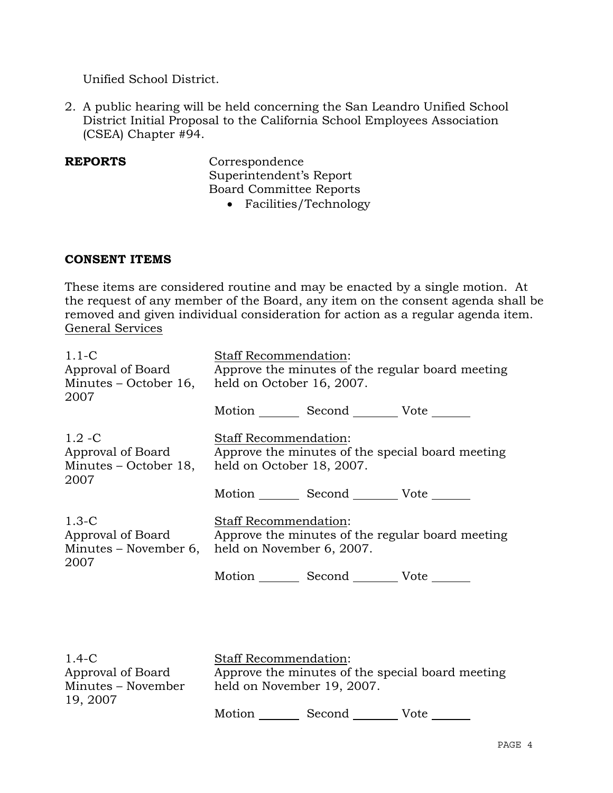Unified School District.

2. A public hearing will be held concerning the San Leandro Unified School District Initial Proposal to the California School Employees Association (CSEA) Chapter #94.

**REPORTS** Correspondence Superintendent's Report Board Committee Reports

• Facilities/Technology

### **CONSENT ITEMS**

These items are considered routine and may be enacted by a single motion. At the request of any member of the Board, any item on the consent agenda shall be removed and given individual consideration for action as a regular agenda item. General Services

| $1.1-C$<br>Approval of Board<br>2007                                               | Staff Recommendation:<br>Approve the minutes of the regular board meeting<br>Minutes – October 16, held on October 16, 2007.<br>Motion _________ Second __________ Vote _______                                                                            |  |  |
|------------------------------------------------------------------------------------|------------------------------------------------------------------------------------------------------------------------------------------------------------------------------------------------------------------------------------------------------------|--|--|
| $1.2 - C$<br>Approval of Board<br>Minutes – October 18,<br>2007                    | Staff Recommendation:<br>Approve the minutes of the special board meeting<br>held on October 18, 2007.                                                                                                                                                     |  |  |
|                                                                                    | Motion Second Vote                                                                                                                                                                                                                                         |  |  |
| $1.3-C$<br>Approval of Board<br>Minutes – November 6,                              | Staff Recommendation:<br>Approve the minutes of the regular board meeting<br>held on November 6, 2007.                                                                                                                                                     |  |  |
| 2007                                                                               | Motion Second Vote ______                                                                                                                                                                                                                                  |  |  |
|                                                                                    |                                                                                                                                                                                                                                                            |  |  |
| $1.4 - C$<br>$\bullet$ $\bullet$ $\bullet$ $\bullet$ $\bullet$ $\bullet$ $\bullet$ | Staff Recommendation:<br>$\sigma$ . The contract of the contract of the contract of the contract of the contract of the contract of the contract of the contract of the contract of the contract of the contract of the contract of the contract of the co |  |  |

| $1.4 - C$                      |                            | Stail Recommendation:                            |      |  |
|--------------------------------|----------------------------|--------------------------------------------------|------|--|
| Approval of Board              |                            | Approve the minutes of the special board meeting |      |  |
| Minutes – November<br>19, 2007 | held on November 19, 2007. |                                                  |      |  |
|                                | Motion                     | Second                                           | Vote |  |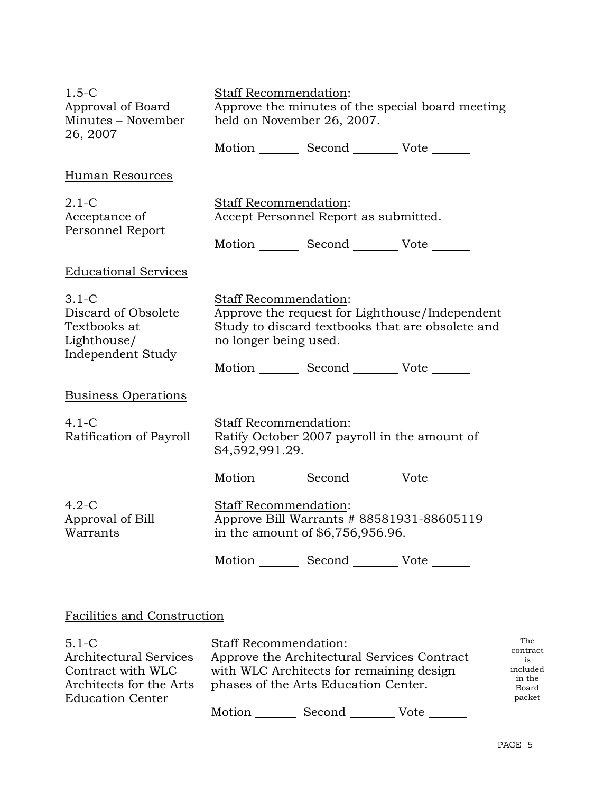| $1.5-C$<br>Approval of Board<br>Minutes - November<br>26, 2007                       | Staff Recommendation:<br>Approve the minutes of the special board meeting<br>held on November 26, 2007.                                                     |                                                                                          |  |
|--------------------------------------------------------------------------------------|-------------------------------------------------------------------------------------------------------------------------------------------------------------|------------------------------------------------------------------------------------------|--|
|                                                                                      |                                                                                                                                                             | Motion _________ Second __________ Vote _______                                          |  |
| Human Resources                                                                      |                                                                                                                                                             |                                                                                          |  |
| $2.1-C$<br>Acceptance of<br>Personnel Report                                         | Staff Recommendation:                                                                                                                                       | Accept Personnel Report as submitted.<br>Motion _________ Second __________ Vote _______ |  |
| <b>Educational Services</b>                                                          |                                                                                                                                                             |                                                                                          |  |
| $3.1 - C$<br>Discard of Obsolete<br>Textbooks at<br>Lighthouse/<br>Independent Study | <b>Staff Recommendation:</b><br>Approve the request for Lighthouse/Independent<br>Study to discard textbooks that are obsolete and<br>no longer being used. |                                                                                          |  |
|                                                                                      |                                                                                                                                                             | Motion _________ Second __________ Vote _______                                          |  |
| <b>Business Operations</b>                                                           |                                                                                                                                                             |                                                                                          |  |
| $4.1 - C$<br>Ratification of Payroll                                                 | Staff Recommendation:<br>\$4,592,991.29.                                                                                                                    | Ratify October 2007 payroll in the amount of                                             |  |
|                                                                                      |                                                                                                                                                             | Motion _________ Second __________ Vote _______                                          |  |
| $4.2-C$<br>Approval of Bill<br>Warrants                                              | <b>Staff Recommendation:</b><br>Approve Bill Warrants # 88581931-88605119<br>in the amount of \$6,756,956.96.                                               |                                                                                          |  |
|                                                                                      |                                                                                                                                                             | Motion _________ Second __________ Vote _______                                          |  |
|                                                                                      |                                                                                                                                                             |                                                                                          |  |
| Facilities and Construction                                                          |                                                                                                                                                             |                                                                                          |  |

#### 5.1-C Architectural Services Contract with WLC Architects for the Arts Education Center Staff Recommendation: Approve the Architectural Services Contract with WLC Architects for remaining design phases of the Arts Education Center. Motion Second Vote The contract is included in the Board packet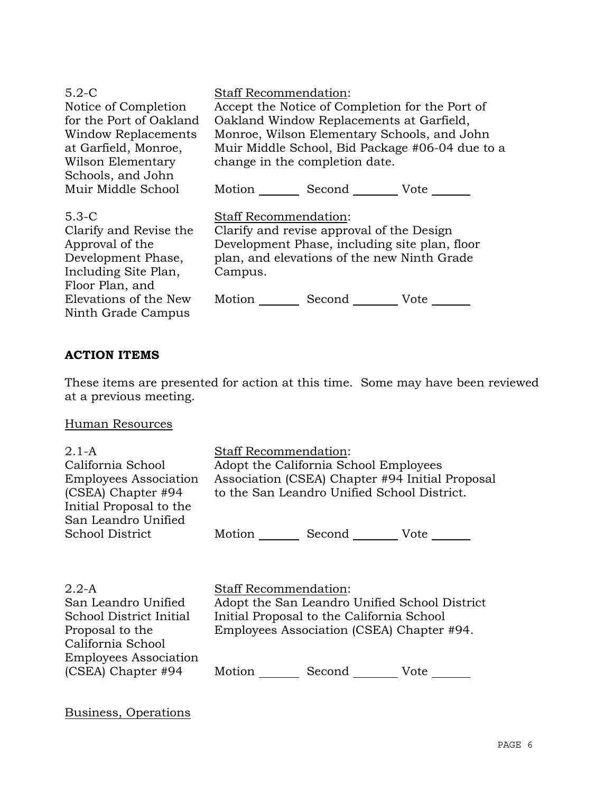| $5.2-C$                                                                                                                                                              | <b>Staff Recommendation:</b>                                                                                                                                                                                                 |
|----------------------------------------------------------------------------------------------------------------------------------------------------------------------|------------------------------------------------------------------------------------------------------------------------------------------------------------------------------------------------------------------------------|
| Notice of Completion                                                                                                                                                 | Accept the Notice of Completion for the Port of                                                                                                                                                                              |
| for the Port of Oakland                                                                                                                                              | Oakland Window Replacements at Garfield,                                                                                                                                                                                     |
| <b>Window Replacements</b>                                                                                                                                           | Monroe, Wilson Elementary Schools, and John                                                                                                                                                                                  |
| at Garfield, Monroe,                                                                                                                                                 | Muir Middle School, Bid Package #06-04 due to a                                                                                                                                                                              |
| Wilson Elementary                                                                                                                                                    | change in the completion date.                                                                                                                                                                                               |
| Schools, and John                                                                                                                                                    | Second _________ Vote _______                                                                                                                                                                                                |
| Muir Middle School                                                                                                                                                   | $Motion$ <sub>__________</sub>                                                                                                                                                                                               |
| $5.3-C$<br>Clarify and Revise the<br>Approval of the<br>Development Phase,<br>Including Site Plan,<br>Floor Plan, and<br>Elevations of the New<br>Ninth Grade Campus | <b>Staff Recommendation:</b><br>Clarify and revise approval of the Design<br>Development Phase, including site plan, floor<br>plan, and elevations of the new Ninth Grade<br>Campus.<br>Motion Second _________ Vote _______ |

# **ACTION ITEMS**

These items are presented for action at this time. Some may have been reviewed at a previous meeting.

Human Resources

| $2.1 - A$<br>California School<br><b>Employees Association</b><br>(CSEA) Chapter #94<br>Initial Proposal to the<br>San Leandro Unified | Staff Recommendation:<br>Adopt the California School Employees<br>Association (CSEA) Chapter #94 Initial Proposal<br>to the San Leandro Unified School District. |  |
|----------------------------------------------------------------------------------------------------------------------------------------|------------------------------------------------------------------------------------------------------------------------------------------------------------------|--|
| School District                                                                                                                        | Motion Second Vote                                                                                                                                               |  |
| $2.2 - A$<br>San Leandro Unified<br>School District Initial                                                                            | <b>Staff Recommendation:</b><br>Adopt the San Leandro Unified School District<br>Initial Proposal to the California School                                       |  |
| Proposal to the<br>California School<br><b>Employees Association</b>                                                                   | Employees Association (CSEA) Chapter #94.                                                                                                                        |  |
| $(CSEA)$ Chapter #94                                                                                                                   | Motion<br>Second<br>Vote                                                                                                                                         |  |

Business, Operations